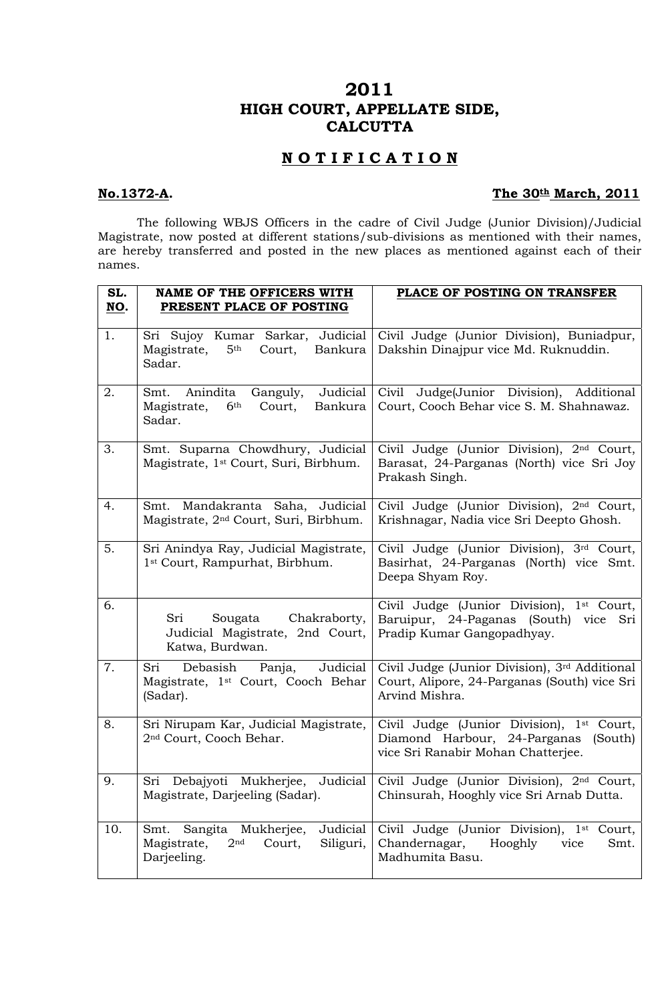## **2011 HIGH COURT, APPELLATE SIDE, CALCUTTA**

## **N O T I F I C A T I O N**

## **No.1372-A.** The 30<sup>th</sup> March, 2011

 The following WBJS Officers in the cadre of Civil Judge (Junior Division)/Judicial Magistrate, now posted at different stations/sub-divisions as mentioned with their names, are hereby transferred and posted in the new places as mentioned against each of their names.

| SL.<br>NO. | <b>NAME OF THE OFFICERS WITH</b><br>PRESENT PLACE OF POSTING                                                   | PLACE OF POSTING ON TRANSFER                                                                                               |
|------------|----------------------------------------------------------------------------------------------------------------|----------------------------------------------------------------------------------------------------------------------------|
| 1.         | Sri Sujoy Kumar Sarkar, Judicial<br>5 <sup>th</sup><br>Magistrate,<br>Court,<br>Bankura<br>Sadar.              | Civil Judge (Junior Division), Buniadpur,<br>Dakshin Dinajpur vice Md. Ruknuddin.                                          |
| 2.         | Judicial<br>Anindita Ganguly,<br>Smt.<br>6 <sup>th</sup><br>Bankura<br>Magistrate,<br>Court,<br>Sadar.         | Civil Judge(Junior Division), Additional<br>Court, Cooch Behar vice S. M. Shahnawaz.                                       |
| 3.         | Smt. Suparna Chowdhury, Judicial<br>Magistrate, 1 <sup>st</sup> Court, Suri, Birbhum.                          | Civil Judge (Junior Division), 2nd Court,<br>Barasat, 24-Parganas (North) vice Sri Joy<br>Prakash Singh.                   |
| 4.         | Mandakranta Saha, Judicial<br>Smt.<br>Magistrate, 2 <sup>nd</sup> Court, Suri, Birbhum.                        | Civil Judge (Junior Division), 2nd Court,<br>Krishnagar, Nadia vice Sri Deepto Ghosh.                                      |
| 5.         | Sri Anindya Ray, Judicial Magistrate,<br>1 <sup>st</sup> Court, Rampurhat, Birbhum.                            | Civil Judge (Junior Division), 3rd Court,<br>Basirhat, 24-Parganas (North) vice Smt.<br>Deepa Shyam Roy.                   |
| 6.         | Sri<br>Chakraborty,<br>Sougata<br>Judicial Magistrate, 2nd Court,<br>Katwa, Burdwan.                           | Civil Judge (Junior Division), 1st Court,<br>Baruipur, 24-Paganas (South) vice Sri<br>Pradip Kumar Gangopadhyay.           |
| 7.         | Debasish<br>Judicial<br>Sri<br>Panja,<br>Magistrate, 1 <sup>st</sup> Court, Cooch Behar<br>(Sadar).            | Civil Judge (Junior Division), 3rd Additional<br>Court, Alipore, 24-Parganas (South) vice Sri<br>Arvind Mishra.            |
| 8.         | Sri Nirupam Kar, Judicial Magistrate,<br>2 <sup>nd</sup> Court, Cooch Behar.                                   | Civil Judge (Junior Division), 1st Court,<br>Diamond Harbour, 24-Parganas<br>(South)<br>vice Sri Ranabir Mohan Chatterjee. |
| 9.         | Sri Debajyoti Mukherjee, Judicial<br>Magistrate, Darjeeling (Sadar).                                           | Civil Judge (Junior Division), 2 <sup>nd</sup> Court,<br>Chinsurah, Hooghly vice Sri Arnab Dutta.                          |
| 10.        | Sangita Mukherjee,<br>Judicial<br>Smt.<br>2 <sup>nd</sup><br>Magistrate,<br>Siliguri,<br>Court,<br>Darjeeling. | Civil Judge (Junior Division),<br>1 <sup>st</sup> Court,<br>Chandernagar,<br>Hooghly<br>Smt.<br>vice<br>Madhumita Basu.    |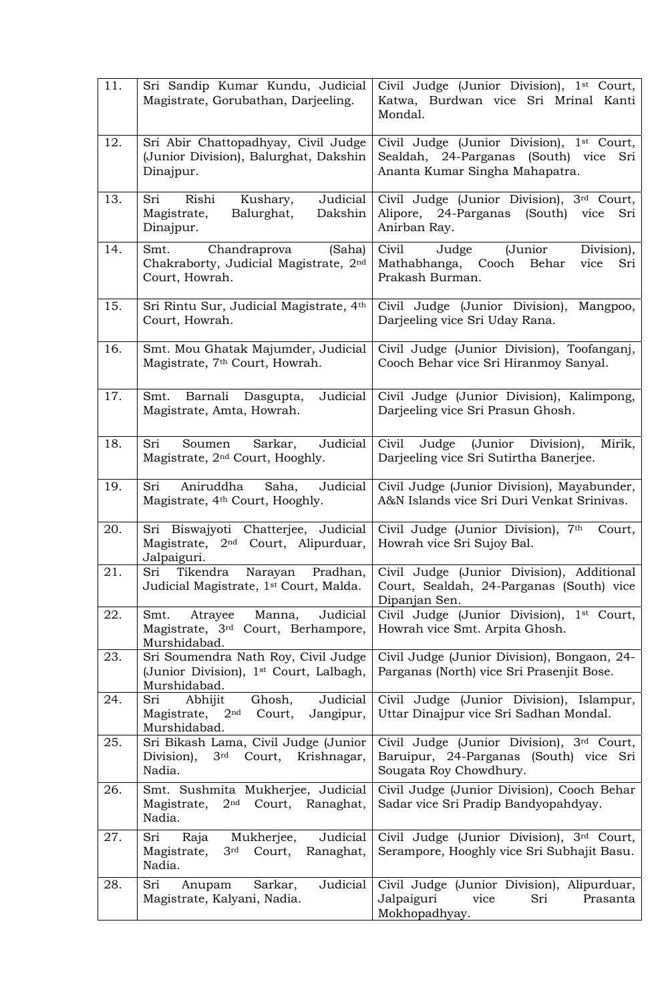| 11. | Sri Sandip Kumar Kundu, Judicial<br>Magistrate, Gorubathan, Darjeeling.                                   | Civil Judge (Junior Division), 1st Court,<br>Katwa, Burdwan vice Sri Mrinal Kanti<br>Mondal.                               |
|-----|-----------------------------------------------------------------------------------------------------------|----------------------------------------------------------------------------------------------------------------------------|
| 12. | Sri Abir Chattopadhyay, Civil Judge<br>(Junior Division), Balurghat, Dakshin<br>Dinajpur.                 | Civil Judge (Junior Division), 1st Court,<br>Sealdah, 24-Parganas (South)<br>vice<br>Sri<br>Ananta Kumar Singha Mahapatra. |
| 13. | Judicial<br>Sri<br>Rishi<br>Kushary,<br>Magistrate,<br>Balurghat,<br>Dakshin<br>Dinajpur.                 | Civil Judge (Junior Division), 3rd Court,<br>Alipore, 24-Parganas (South)<br>vice<br>Sri<br>Anirban Ray.                   |
| 14. | (Saha)<br>Smt.<br>Chandraprova<br>Chakraborty, Judicial Magistrate, 2nd<br>Court, Howrah.                 | Civil<br>Judge<br>(Junior<br>Division),<br>Behar<br>Mathabhanga, Cooch<br>vice<br>Sri<br>Prakash Burman.                   |
| 15. | Sri Rintu Sur, Judicial Magistrate, 4th<br>Court, Howrah.                                                 | Civil Judge (Junior Division),<br>Mangpoo,<br>Darjeeling vice Sri Uday Rana.                                               |
| 16. | Smt. Mou Ghatak Majumder, Judicial<br>Magistrate, 7 <sup>th</sup> Court, Howrah.                          | Civil Judge (Junior Division), Toofanganj,<br>Cooch Behar vice Sri Hiranmoy Sanyal.                                        |
| 17. | Judicial<br>Barnali Dasgupta,<br>Smt.<br>Magistrate, Amta, Howrah.                                        | Civil Judge (Junior Division), Kalimpong,<br>Darjeeling vice Sri Prasun Ghosh.                                             |
| 18. | Judicial<br>Sri<br>Soumen<br>Sarkar,<br>Magistrate, 2 <sup>nd</sup> Court, Hooghly.                       | Civil<br>Judge (Junior Division),<br>Mirik,<br>Darjeeling vice Sri Sutirtha Banerjee.                                      |
| 19. | Aniruddha<br>Judicial<br>Sri<br>Saha,<br>Magistrate, 4 <sup>th</sup> Court, Hooghly.                      | Civil Judge (Junior Division), Mayabunder,<br>A&N Islands vice Sri Duri Venkat Srinivas.                                   |
| 20. | Sri Biswajyoti Chatterjee, Judicial<br>Magistrate,<br>2 <sup>nd</sup> Court, Alipurduar,<br>Jalpaiguri.   | Civil Judge (Junior Division), 7th<br>Court,<br>Howrah vice Sri Sujoy Bal.                                                 |
| 21. | Tikendra Narayan Pradhan,<br>Sri<br>Judicial Magistrate, 1 <sup>st</sup> Court, Malda.                    | Civil Judge (Junior Division), Additional<br>Court, Sealdah, 24-Parganas (South) vice<br>Dipanjan Sen.                     |
| 22. | Atrayee Manna,<br>Judicial<br>Smt.<br>Magistrate, 3 <sup>rd</sup> Court, Berhampore,<br>Murshidabad.      | Civil Judge (Junior Division), 1st Court,<br>Howrah vice Smt. Arpita Ghosh.                                                |
| 23. | Sri Soumendra Nath Roy, Civil Judge<br>(Junior Division), 1 <sup>st</sup> Court, Lalbagh,<br>Murshidabad. | Civil Judge (Junior Division), Bongaon, 24-<br>Parganas (North) vice Sri Prasenjit Bose.                                   |
| 24. | Sri<br>Judicial<br>Abhijit<br>Ghosh,<br>Magistrate, $2nd$ Court,<br>Jangipur,<br>Murshidabad.             | Civil Judge (Junior Division), Islampur,<br>Uttar Dinajpur vice Sri Sadhan Mondal.                                         |
| 25. | Sri Bikash Lama, Civil Judge (Junior<br>Division),<br>3 <sup>rd</sup><br>Court, Krishnagar,<br>Nadia.     | Civil Judge (Junior Division), 3rd Court,<br>Baruipur, 24-Parganas (South) vice Sri<br>Sougata Roy Chowdhury.              |
| 26. | Smt. Sushmita Mukherjee, Judicial<br>Magistrate, 2 <sup>nd</sup> Court, Ranaghat,<br>Nadia.               | Civil Judge (Junior Division), Cooch Behar<br>Sadar vice Sri Pradip Bandyopahdyay.                                         |
| 27. | Sri<br>Judicial<br>Raja<br>Mukherjee,<br>3 <sup>rd</sup><br>Magistrate,<br>Court,<br>Ranaghat,<br>Nadia.  | Civil Judge (Junior Division), 3rd Court,<br>Serampore, Hooghly vice Sri Subhajit Basu.                                    |
| 28. | Judicial<br>Sri<br>Sarkar,<br>Anupam<br>Magistrate, Kalyani, Nadia.                                       | Civil Judge (Junior Division), Alipurduar,<br>Jalpaiguri<br>vice<br>Sri<br>Prasanta<br>Mokhopadhyay.                       |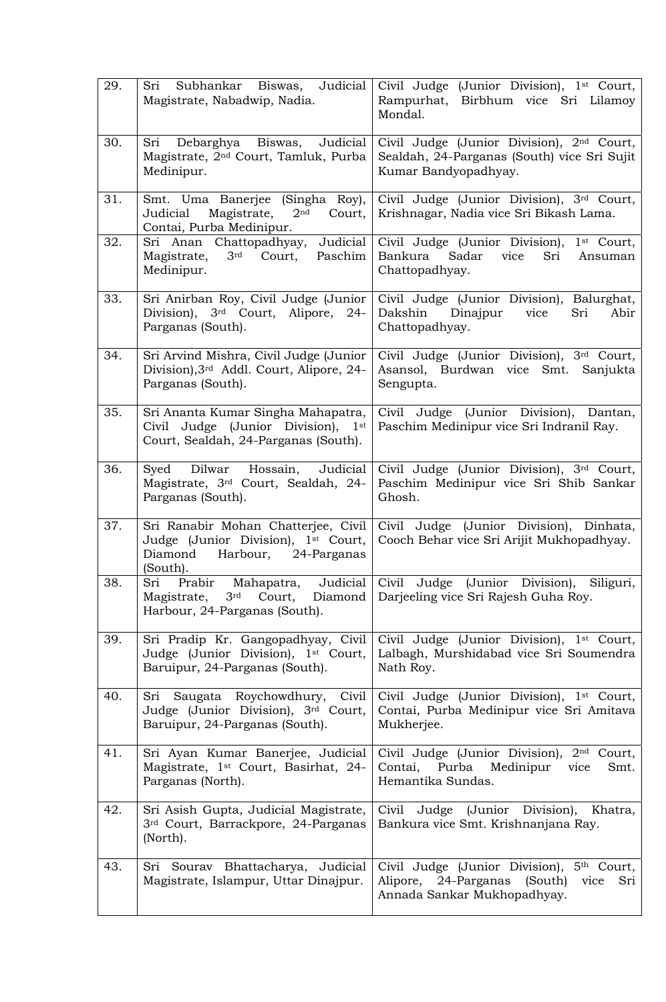| 29. | Subhankar Biswas, Judicial<br>Sri<br>Magistrate, Nabadwip, Nadia.                                                               | Civil Judge (Junior Division), 1st Court,<br>Rampurhat, Birbhum vice Sri Lilamoy<br>Mondal.                                  |
|-----|---------------------------------------------------------------------------------------------------------------------------------|------------------------------------------------------------------------------------------------------------------------------|
| 30. | Sri Debarghya Biswas,<br>Judicial<br>Magistrate, 2 <sup>nd</sup> Court, Tamluk, Purba<br>Medinipur.                             | Civil Judge (Junior Division), 2 <sup>nd</sup> Court,<br>Sealdah, 24-Parganas (South) vice Sri Sujit<br>Kumar Bandyopadhyay. |
| 31. | Smt. Uma Banerjee (Singha Roy),<br>Magistrate,<br>2 <sup>nd</sup><br>Judicial<br>Court,<br>Contai, Purba Medinipur.             | Civil Judge (Junior Division), 3rd Court,<br>Krishnagar, Nadia vice Sri Bikash Lama.                                         |
| 32. | Sri Anan Chattopadhyay, Judicial<br>Magistrate,<br>3 <sup>rd</sup> Court,<br>Paschim<br>Medinipur.                              | Civil Judge (Junior Division), 1st Court,<br>Sadar vice<br>Bankura<br>Sri<br>Ansuman<br>Chattopadhyay.                       |
| 33. | Sri Anirban Roy, Civil Judge (Junior<br>Division), 3rd Court, Alipore, 24-<br>Parganas (South).                                 | Civil Judge (Junior Division), Balurghat,<br>Dakshin<br>Dinajpur<br>vice<br>Sri<br>Abir<br>Chattopadhyay.                    |
| 34. | Sri Arvind Mishra, Civil Judge (Junior<br>Division), 3rd Addl. Court, Alipore, 24-<br>Parganas (South).                         | Civil Judge (Junior Division), 3rd Court,<br>Asansol, Burdwan vice Smt. Sanjukta<br>Sengupta.                                |
| 35. | Sri Ananta Kumar Singha Mahapatra,<br>Civil Judge (Junior Division), 1st<br>Court, Sealdah, 24-Parganas (South).                | Civil Judge (Junior Division), Dantan,<br>Paschim Medinipur vice Sri Indranil Ray.                                           |
| 36. | Dilwar<br>Hossain,<br>Judicial<br>Syed<br>Magistrate, 3rd Court, Sealdah, 24-<br>Parganas (South).                              | Civil Judge (Junior Division), 3rd Court,<br>Paschim Medinipur vice Sri Shib Sankar<br>Ghosh.                                |
| 37. | Sri Ranabir Mohan Chatterjee, Civil<br>Judge (Junior Division), 1st Court,<br>Diamond Harbour, 24-Parganas<br>(South).          | Civil Judge (Junior Division), Dinhata,<br>Cooch Behar vice Sri Arijit Mukhopadhyay.                                         |
| 38. | Judicial<br>Mahapatra,<br>Sri<br>Prabir<br>3 <sup>rd</sup><br>Diamond<br>Magistrate,<br>Court,<br>Harbour, 24-Parganas (South). | Civil Judge (Junior Division),<br>Siliguri,<br>Darjeeling vice Sri Rajesh Guha Roy.                                          |
| 39. | Sri Pradip Kr. Gangopadhyay, Civil<br>Judge (Junior Division), 1st Court,<br>Baruipur, 24-Parganas (South).                     | Civil Judge (Junior Division), 1st Court,<br>Lalbagh, Murshidabad vice Sri Soumendra<br>Nath Roy.                            |
| 40. | Saugata Roychowdhury,<br>Sri<br>Civil<br>Judge (Junior Division), 3rd Court,<br>Baruipur, 24-Parganas (South).                  | Civil Judge (Junior Division), 1st Court,<br>Contai, Purba Medinipur vice Sri Amitava<br>Mukherjee.                          |
| 41. | Sri Ayan Kumar Banerjee, Judicial<br>Magistrate, 1 <sup>st</sup> Court, Basirhat, 24-<br>Parganas (North).                      | Civil Judge (Junior Division), 2nd Court,<br>Contai, Purba<br>Medinipur<br>Smt.<br>vice<br>Hemantika Sundas.                 |
| 42. | Sri Asish Gupta, Judicial Magistrate,<br>3rd Court, Barrackpore, 24-Parganas<br>(North).                                        | Civil<br>Judge (Junior Division),<br>Khatra,<br>Bankura vice Smt. Krishnanjana Ray.                                          |
| 43. | Sri Sourav Bhattacharya, Judicial<br>Magistrate, Islampur, Uttar Dinajpur.                                                      | Civil Judge (Junior Division), 5th Court,<br>Alipore, 24-Parganas<br>(South)<br>vice<br>Sri<br>Annada Sankar Mukhopadhyay.   |